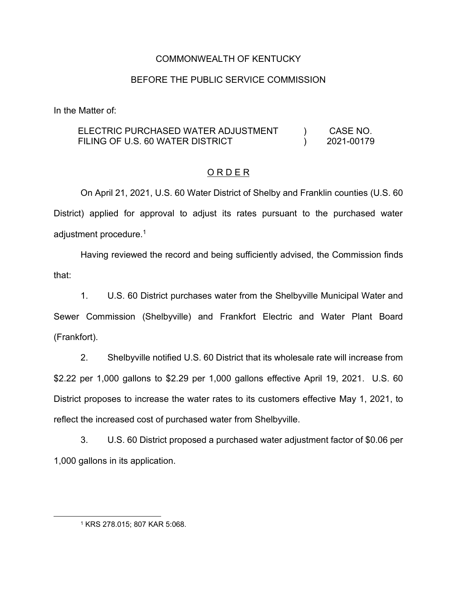## COMMONWEALTH OF KENTUCKY

## BEFORE THE PUBLIC SERVICE COMMISSION

In the Matter of:

#### ELECTRIC PURCHASED WATER ADJUSTMENT FILING OF U.S. 60 WATER DISTRICT  $\lambda$  $\lambda$ CASE NO. 2021-00179

# O R D E R

On April 21, 2021, U.S. 60 Water District of Shelby and Franklin counties (U.S. 60 District) applied for approval to adjust its rates pursuant to the purchased water adjustment procedure.<sup>1</sup>

Having reviewed the record and being sufficiently advised, the Commission finds that:

1. U.S. 60 District purchases water from the Shelbyville Municipal Water and Sewer Commission (Shelbyville) and Frankfort Electric and Water Plant Board (Frankfort).

2. Shelbyville notified U.S. 60 District that its wholesale rate will increase from \$2.22 per 1,000 gallons to \$2.29 per 1,000 gallons effective April 19, 2021. U.S. 60 District proposes to increase the water rates to its customers effective May 1, 2021, to reflect the increased cost of purchased water from Shelbyville.

3. U.S. 60 District proposed a purchased water adjustment factor of \$0.06 per 1,000 gallons in its application.

<sup>1</sup> KRS 278.015; 807 KAR 5:068.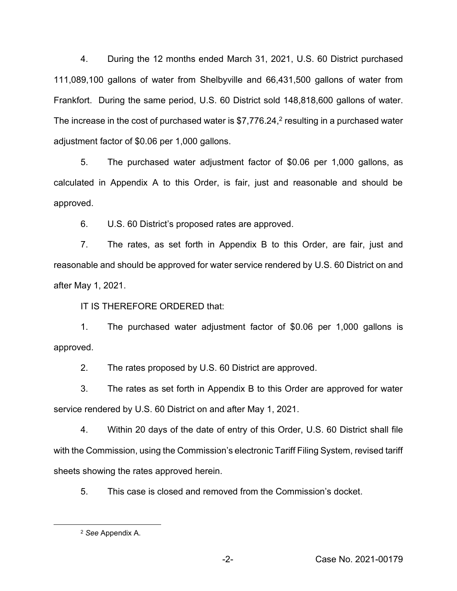4. During the 12 months ended March 31, 2021, U.S. 60 District purchased 111,089,100 gallons of water from Shelbyville and 66,431,500 gallons of water from Frankfort. During the same period, U.S. 60 District sold 148,818,600 gallons of water. The increase in the cost of purchased water is \$7,776.24,<sup>2</sup> resulting in a purchased water adjustment factor of \$0.06 per 1,000 gallons.

5. The purchased water adjustment factor of \$0.06 per 1,000 gallons, as calculated in Appendix A to this Order, is fair, just and reasonable and should be approved.

6. U.S. 60 District's proposed rates are approved.

7. The rates, as set forth in Appendix B to this Order, are fair, just and reasonable and should be approved for water service rendered by U.S. 60 District on and after May 1, 2021.

IT IS THEREFORE ORDERED that:

1. The purchased water adjustment factor of \$0.06 per 1,000 gallons is approved.

2. The rates proposed by U.S. 60 District are approved.

3. The rates as set forth in Appendix B to this Order are approved for water service rendered by U.S. 60 District on and after May 1, 2021.

4. Within 20 days of the date of entry of this Order, U.S. 60 District shall file with the Commission, using the Commission's electronic Tariff Filing System, revised tariff sheets showing the rates approved herein.

5. This case is closed and removed from the Commission's docket.

<sup>2</sup> *See* Appendix A.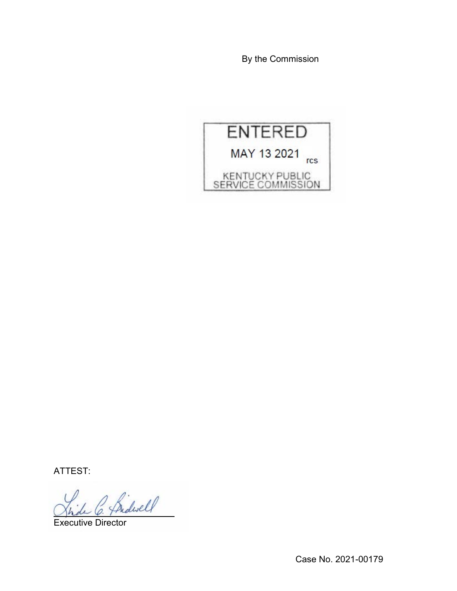By the Commission



ATTEST:

Bidwell

Executive Director

Case No. 2021-00179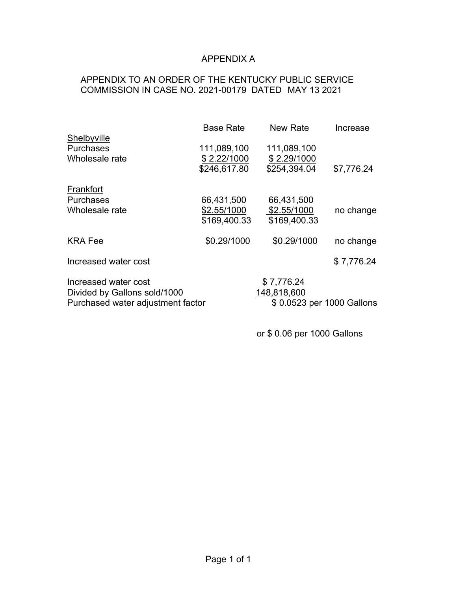# APPENDIX A

# APPENDIX TO AN ORDER OF THE KENTUCKY PUBLIC SERVICE COMMISSION IN CASE NO. 2021-00179 DATED MAY 13 2021

|                                                                   | <b>Base Rate</b> | New Rate                                 | Increase   |
|-------------------------------------------------------------------|------------------|------------------------------------------|------------|
| Shelbyville<br><b>Purchases</b>                                   | 111,089,100      | 111,089,100                              |            |
| Wholesale rate                                                    | \$2.22/1000      | \$2.29/1000                              |            |
|                                                                   | \$246,617.80     | \$254,394.04                             | \$7,776.24 |
| Frankfort                                                         |                  |                                          |            |
| <b>Purchases</b>                                                  | 66,431,500       | 66,431,500                               |            |
| Wholesale rate                                                    | \$2.55/1000      | \$2.55/1000                              | no change  |
|                                                                   | \$169,400.33     | \$169,400.33                             |            |
| <b>KRA Fee</b>                                                    | \$0.29/1000      | \$0.29/1000                              | no change  |
| Increased water cost                                              |                  |                                          | \$7,776.24 |
| Increased water cost                                              |                  | \$7,776.24                               |            |
| Divided by Gallons sold/1000<br>Purchased water adjustment factor |                  | 148,818,600<br>\$0.0523 per 1000 Gallons |            |
|                                                                   |                  |                                          |            |

or \$ 0.06 per 1000 Gallons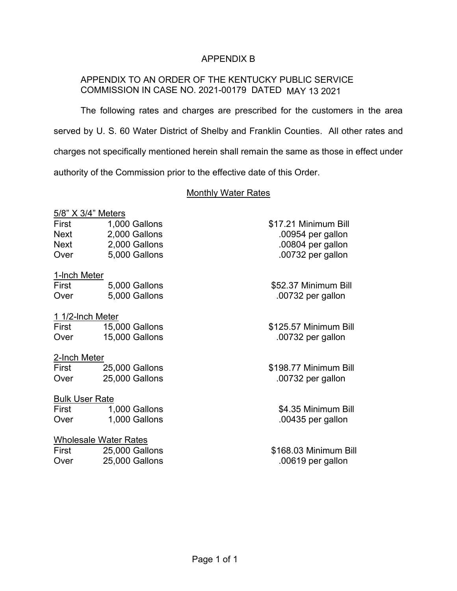## APPENDIX B

# APPENDIX TO AN ORDER OF THE KENTUCKY PUBLIC SERVICE COMMISSION IN CASE NO. 2021-00179 DATED MAY 13 2021

The following rates and charges are prescribed for the customers in the area served by U. S. 60 Water District of Shelby and Franklin Counties. All other rates and charges not specifically mentioned herein shall remain the same as those in effect under authority of the Commission prior to the effective date of this Order.

#### Monthly Water Rates

### 5/8" X 3/4" Meters

| First | 1,000 Gallons |
|-------|---------------|
| Next  | 2,000 Gallons |
| Next  | 2,000 Gallons |
| Over  | 5,000 Gallons |

#### 1-lnch Meter

| First | 5,000 Gallons |
|-------|---------------|
| Over  | 5,000 Gallons |

#### 1 1/2-lnch Meter

| First | <b>15,000 Gallons</b> |
|-------|-----------------------|
| Over  | 15,000 Gallons        |

## 2-Inch Meter

| First | 25,000 Gallons |
|-------|----------------|
| Over  | 25,000 Gallons |

## Bulk User Rate

| First | 1,000 Gallons |
|-------|---------------|
| Over  | 1,000 Gallons |

## Wholesale Water Rates

| First | 25,000 Gallons |
|-------|----------------|
| Over  | 25,000 Gallons |

\$17.21 Minimum Bill  $.00954$  per gallon  $.00804$  per gallon .00732 per gallon

\$52.37 Minimum Bill .00732 per gallon

\$125.57 Minimum Bill .00732 per gallon

## \$198.77 Minimum Bill .00732 per gallon

\$4.35 Minimum Bill  $.00435$  per gallon

\$168.03 Minimum Bill  $.00619$  per gallon